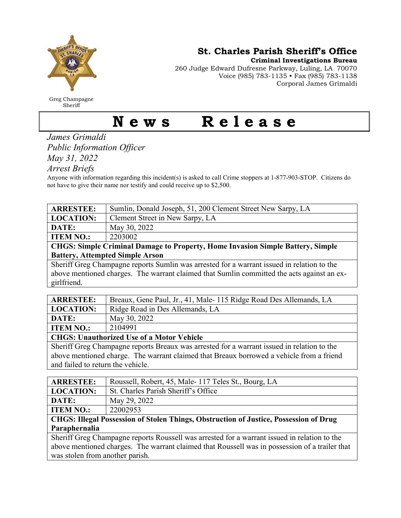

Greg Champagne Sheriff

St. Charles Parish Sheriff's Office

Criminal Investigations Bureau

260 Judge Edward Dufresne Parkway, Luling, LA 70070 Voice (985) 783-1135 • Fax (985) 783-1138 Corporal James Grimaldi

## News Release

James Grimaldi Public Information Officer May 31, 2022

Arrest Briefs

Anyone with information regarding this incident(s) is asked to call Crime stoppers at 1-877-903-STOP. Citizens do not have to give their name nor testify and could receive up to \$2,500.

| <b>ARRESTEE:</b>                                                                           | Sumlin, Donald Joseph, 51, 200 Clement Street New Sarpy, LA                                                   |  |
|--------------------------------------------------------------------------------------------|---------------------------------------------------------------------------------------------------------------|--|
| <b>LOCATION:</b>                                                                           | Clement Street in New Sarpy, LA                                                                               |  |
| DATE:                                                                                      | May 30, 2022                                                                                                  |  |
| <b>ITEM NO.:</b>                                                                           | 2203002                                                                                                       |  |
| <b>CHGS: Simple Criminal Damage to Property, Home Invasion Simple Battery, Simple</b>      |                                                                                                               |  |
| <b>Battery, Attempted Simple Arson</b>                                                     |                                                                                                               |  |
| Sheriff Greg Champagne reports Sumlin was arrested for a warrant issued in relation to the |                                                                                                               |  |
|                                                                                            | ਤ ਹੈ। ਇਸ ਤੋਂ ਪਾਰਟੀ ਦਾ ਸ਼ਾਮਲ ਸ਼ਾਮਲ ਦੀ ਸੰਗਤ ਵਿੱਚ ਸ਼ਾਮਲ ਦੀ ਸ਼ਾਮਲ ਦੀ ਸ਼ਾਮਲ ਦੀ ਸ਼ਾਮਲ ਦੀ ਸ਼ਾਮਲ ਦੀ ਸ਼ਾਮਲ ਦੀ ਸ਼ਾਮਲ ਦੀ |  |

above mentioned charges. The warrant claimed that Sumlin committed the acts against an exgirlfriend.

| <b>ARRESTEE:</b> | Breaux, Gene Paul, Jr., 41, Male-115 Ridge Road Des Allemands, LA |
|------------------|-------------------------------------------------------------------|
| LOCATION:        | Ridge Road in Des Allemands, LA                                   |
| DATE:            | May 30, 2022                                                      |
| <b>ITEM NO.:</b> | 2104991                                                           |
| -------          | .<br>.                                                            |

CHGS: Unauthorized Use of a Motor Vehicle

Sheriff Greg Champagne reports Breaux was arrested for a warrant issued in relation to the above mentioned charge. The warrant claimed that Breaux borrowed a vehicle from a friend and failed to return the vehicle.

| <b>ARRESTEE:</b>                                                                             | Roussell, Robert, 45, Male-117 Teles St., Bourg, LA |  |
|----------------------------------------------------------------------------------------------|-----------------------------------------------------|--|
| <b>LOCATION:</b>                                                                             | St. Charles Parish Sheriff's Office                 |  |
| DATE:                                                                                        | May 29, 2022                                        |  |
| <b>ITEM NO.:</b>                                                                             | 22002953                                            |  |
| <b>CHGS: Illegal Possession of Stolen Things, Obstruction of Justice, Possession of Drug</b> |                                                     |  |

## Paraphernalia

Sheriff Greg Champagne reports Roussell was arrested for a warrant issued in relation to the above mentioned charges. The warrant claimed that Roussell was in possession of a trailer that was stolen from another parish.